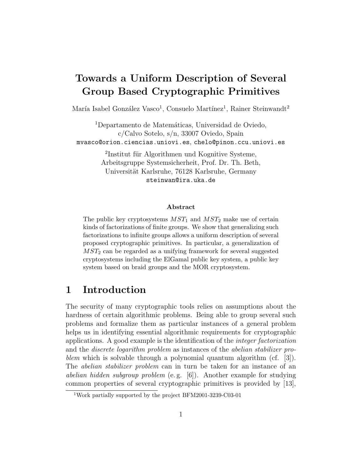# Towards a Uniform Description of Several Group Based Cryptographic Primitives

María Isabel González Vasco<sup>1</sup>, Consuelo Martínez<sup>1</sup>, Rainer Steinwandt<sup>2</sup>

<sup>1</sup>Departamento de Matemáticas, Universidad de Oviedo, c/Calvo Sotelo, s/n, 33007 Oviedo, Spain mvasco@orion.ciencias.uniovi.es, chelo@pinon.ccu.uniovi.es

> <sup>2</sup>Institut für Algorithmen und Kognitive Systeme, Arbeitsgruppe Systemsicherheit, Prof. Dr. Th. Beth, Universität Karlsruhe, 76128 Karlsruhe, Germany steinwan@ira.uka.de

#### Abstract

The public key cryptosystems  $MST_1$  and  $MST_2$  make use of certain kinds of factorizations of finite groups. We show that generalizing such factorizations to infinite groups allows a uniform description of several proposed cryptographic primitives. In particular, a generalization of  $MST<sub>2</sub>$  can be regarded as a unifying framework for several suggested cryptosystems including the ElGamal public key system, a public key system based on braid groups and the MOR cryptosystem.

### 1 Introduction

The security of many cryptographic tools relies on assumptions about the hardness of certain algorithmic problems. Being able to group several such problems and formalize them as particular instances of a general problem helps us in identifying essential algorithmic requirements for cryptographic applications. A good example is the identification of the integer factorization and the discrete logarithm problem as instances of the abelian stabilizer problem which is solvable through a polynomial quantum algorithm  $(cf. [3])$ . The *abelian stabilizer problem* can in turn be taken for an instance of an abelian hidden subgroup problem (e. g. [6]). Another example for studying common properties of several cryptographic primitives is provided by [13],

<sup>1</sup>Work partially supported by the project BFM2001-3239-C03-01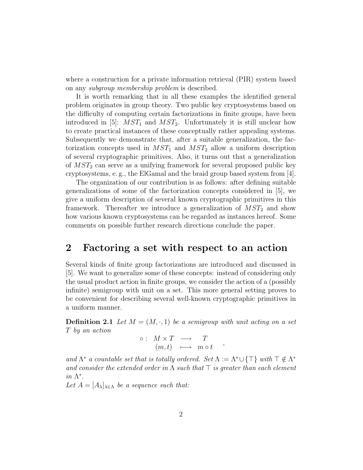where a construction for a private information retrieval (PIR) system based on any subgroup membership problem is described.

It is worth remarking that in all these examples the identified general problem originates in group theory. Two public key cryptosystems based on the difficulty of computing certain factorizations in finite groups, have been introduced in [5]:  $MST_1$  and  $MST_2$ . Unfortunately it is still unclear how to create practical instances of these conceptually rather appealing systems. Subsequently we demonstrate that, after a suitable generalization, the factorization concepts used in  $MST_1$  and  $MST_2$  allow a uniform description of several cryptographic primitives. Also, it turns out that a generalization of  $MST_2$  can serve as a unifying framework for several proposed public key cryptosystems, e. g., the ElGamal and the braid group based system from [4].

The organization of our contribution is as follows: after defining suitable generalizations of some of the factorization concepts considered in [5], we give a uniform description of several known cryptographic primitives in this framework. Thereafter we introduce a generalization of  $MST_2$  and show how various known cryptosystems can be regarded as instances hereof. Some comments on possible further research directions conclude the paper.

### 2 Factoring a set with respect to an action

Several kinds of finite group factorizations are introduced and discussed in [5]. We want to generalize some of these concepts: instead of considering only the usual product action in finite groups, we consider the action of a (possibly infinite) semigroup with unit on a set. This more general setting proves to be convenient for describing several well-known cryptographic primitives in a uniform manner.

**Definition 2.1** Let  $M = (M, \cdot, 1)$  be a semigroup with unit acting on a set T by an action

$$
\circ: M \times T \longrightarrow T
$$
  
\n
$$
(m,t) \longmapsto m \circ t ,
$$

and  $\Lambda^*$  a countable set that is totally ordered. Set  $\Lambda := \Lambda^* \cup {\{\top\}}$  with  $\top \notin \Lambda^*$ and consider the extended order in  $\Lambda$  such that  $\top$  is greater than each element in  $\Lambda^*$ .

Let  $A = [A_{\lambda}]_{\lambda \in \Lambda}$  be a sequence such that: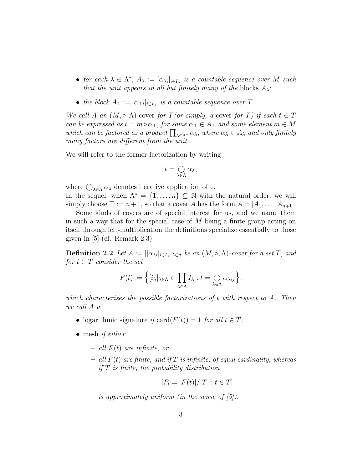- for each  $\lambda \in \Lambda^*$ ,  $A_{\lambda} := [\alpha_{\lambda i}]_{i \in I_{\lambda}}$  is a countable sequence over M such that the unit appears in all but finitely many of the blocks  $A_{\lambda}$ ;
- the block  $A_{\top} := [\alpha_{\top i}]_{i \in I_{\top}}$  is a countable sequence over T.

We call A an  $(M, \circ, \Lambda)$ -cover for  $T$  (or simply, a cover for T) if each  $t \in T$ can be expressed as  $t = m \circ \alpha_{\top}$ , for some  $\alpha_{\top} \in A_{\top}$  and some element  $m \in M$ which can be factored as a product  $\prod_{\lambda \in \Lambda^*} \alpha_{\lambda}$ , where  $\alpha_{\lambda} \in A_{\lambda}$  and only finitely many factors are different from the unit.

We will refer to the former factorization by writing

$$
t=\bigcirc_{\lambda\in\Lambda}\alpha_\lambda,
$$

where  $\bigcirc_{\lambda \in \Lambda} \alpha_{\lambda}$  denotes iterative application of  $\circ$ . In the sequel, when  $\Lambda^* = \{1, \ldots, n\} \subseteq \mathbb{N}$  with the natural order, we will simply choose  $\top := n+1$ , so that a cover A has the form  $A = [A_1, \ldots, A_{n+1}]$ .

Some kinds of covers are of special interest for us, and we name them in such a way that for the special case of M being a finite group acting on itself through left-multiplication the definitions specialize essentially to those given in [5] (cf. Remark 2.3).

**Definition 2.2** Let  $A := [[\alpha_{\lambda i}]_{i \in I_{\lambda}}]_{\lambda \in \Lambda}$  be an  $(M, \circ, \Lambda)$ -cover for a set T, and for  $t \in T$  consider the set

$$
F(t) := \Big\{ [i_{\lambda}]_{\lambda \in \Lambda} \in \prod_{\lambda \in \Lambda} I_{\lambda} : t = \bigcirc_{\lambda \in \Lambda} \alpha_{\lambda i_{\lambda}} \Big\},\,
$$

which characterizes the possible factorizations of t with respect to  $A$ . Then we call A a

- logarithmic signature if card $(F(t)) = 1$  for all  $t \in T$ .
- mesh *if either* 
	- $-$  all  $F(t)$  are infinite, or
	- all  $F(t)$  are finite, and if  $T$  is infinite, of equal cardinality, whereas if  $T$  is finite, the probability distribution

$$
[P_t = |F(t)|/|T| : t \in T]
$$

is approximately uniform (in the sense of  $(5)$ ).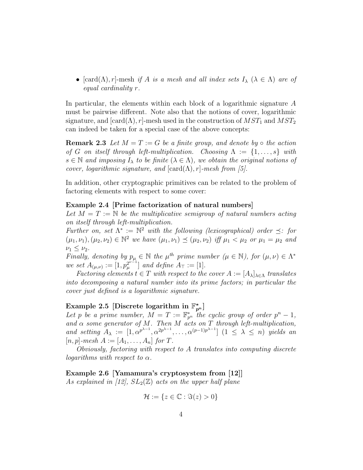•  $[card(\Lambda), r]$ -mesh if A is a mesh and all index sets  $I_{\lambda}$  ( $\lambda \in \Lambda$ ) are of equal cardinality r.

In particular, the elements within each block of a logarithmic signature A must be pairwise different. Note also that the notions of cover, logarithmic signature, and  $[\text{card}(\Lambda), r]$ -mesh used in the construction of  $MST_1$  and  $MST_2$ can indeed be taken for a special case of the above concepts:

**Remark 2.3** Let  $M = T := G$  be a finite group, and denote by  $\circ$  the action of G on itself through left-multiplication. Choosing  $\Lambda := \{1, \ldots, s\}$  with  $s \in \mathbb{N}$  and imposing  $I_{\lambda}$  to be finite  $(\lambda \in \Lambda)$ , we obtain the original notions of cover, logarithmic signature, and  $[\text{card}(\Lambda), r]$ -mesh from [5].

In addition, other cryptographic primitives can be related to the problem of factoring elements with respect to some cover:

#### Example 2.4 [Prime factorization of natural numbers]

Let  $M = T := \mathbb{N}$  be the multiplicative semigroup of natural numbers acting on itself through left-multiplication.

Further on, set  $\Lambda^* := \mathbb{N}^2$  with the following (lexicographical) order  $\preceq$ : for  $(\mu_1, \nu_1), (\mu_2, \nu_2) \in \mathbb{N}^2$  we have  $(\mu_1, \nu_1) \preceq (\mu_2, \nu_2)$  iff  $\mu_1 < \mu_2$  or  $\mu_1 = \mu_2$  and  $\nu_1 \leq \nu_2$ .

Finally, denoting by  $p_{\mu} \in \mathbb{N}$  the  $\mu^{th}$  prime number  $(\mu \in \mathbb{N})$ , for  $(\mu, \nu) \in \Lambda^*$ we set  $A_{(\mu,\nu)} := [1, p_{\mu}^{2^{\nu-1}}]$  $\left[\begin{matrix}2^{\nu-1}\\ \mu\end{matrix}\right]$  and define  $A_{\top} := [1]$ .

Factoring elements  $t \in T$  with respect to the cover  $A := [A_{\lambda}]_{\lambda \in \Lambda}$  translates into decomposing a natural number into its prime factors; in particular the cover just defined is a logarithmic signature.

## Example 2.5 [Discrete logarithm in  $\mathbb{F}_{p^n}^*$ ]

Let p be a prime number,  $M = T := \mathbb{F}_{p^n}^*$  the cyclic group of order  $p^n - 1$ , and  $\alpha$  some generator of M. Then M acts on T through left-multiplication, and setting  $A_{\lambda} := [1, \alpha^{p^{\lambda-1}}, \alpha^{2p^{\lambda-1}}, \dots, \alpha^{(p-1)p^{\lambda-1}}]$   $(1 \leq \lambda \leq n)$  yields an  $[n, p]$ -mesh  $A := [A_1, \ldots, A_n]$  for T.

Obviously, factoring with respect to A translates into computing discrete logarithms with respect to  $\alpha$ .

#### Example 2.6 [Yamamura's cryptosystem from [12]]

As explained in [12],  $SL_2(\mathbb{Z})$  acts on the upper half plane

$$
\mathcal{H} := \{ z \in \mathbb{C} : \Im(z) > 0 \}
$$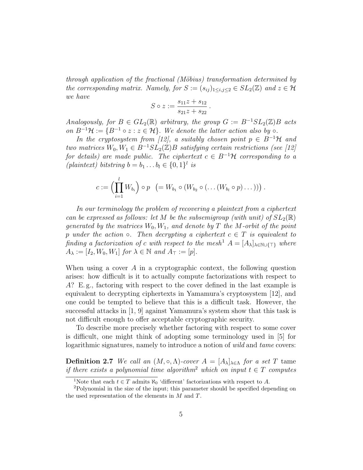through application of the fractional (Möbius) transformation determined by the corresponding matrix. Namely, for  $S := (s_{ij})_{1 \le i,j \le 2} \in SL_2(\mathbb{Z})$  and  $z \in \mathcal{H}$ we have

$$
S \circ z := \frac{s_{11}z + s_{12}}{s_{21}z + s_{22}}.
$$

Analogously, for  $B \in GL_2(\mathbb{R})$  arbitrary, the group  $G := B^{-1}SL_2(\mathbb{Z})B$  acts on  $B^{-1}\mathcal{H} := \{B^{-1} \circ z : z \in \mathcal{H}\}\$ . We denote the latter action also by  $\circ$ .

In the cryptosystem from [12], a suitably chosen point  $p \in B^{-1}$ H and two matrices  $W_0, W_1 \in B^{-1}SL_2(\mathbb{Z})B$  satisfying certain restrictions (see [12] for details) are made public. The ciphertext  $c \in B^{-1}$ H corresponding to a (plaintext) bitstring  $b = b_1 \dots b_l \in \{0, 1\}^l$  is

$$
c:=\Big(\prod_{i=1}^l W_{b_i}\Big)\circ p\ \left(=W_{b_1}\circ (W_{b_2}\circ (\dots (W_{b_l}\circ p)\dots ))\right).
$$

In our terminology the problem of recovering a plaintext from a ciphertext can be expressed as follows: let M be the subsemigroup (with unit) of  $SL_2(\mathbb{R})$ generated by the matrices  $W_0, W_1$ , and denote by T the M-orbit of the point p under the action  $\circ$ . Then decrypting a ciphertext  $c \in T$  is equivalent to finding a factorization of c with respect to the mesh<sup>1</sup>  $A = [A_{\lambda}]_{\lambda \in \mathbb{N} \cup \{T\}}$  where  $A_{\lambda} := [I_2, W_0, W_1]$  for  $\lambda \in \mathbb{N}$  and  $A_{\top} := [p]$ .

When using a cover  $A$  in a cryptographic context, the following question arises: how difficult is it to actually compute factorizations with respect to A? E. g., factoring with respect to the cover defined in the last example is equivalent to decrypting ciphertexts in Yamamura's cryptosystem [12], and one could be tempted to believe that this is a difficult task. However, the successful attacks in [1, 9] against Yamamura's system show that this task is not difficult enough to offer acceptable cryptographic security.

To describe more precisely whether factoring with respect to some cover is difficult, one might think of adopting some terminology used in [5] for logarithmic signatures, namely to introduce a notion of *wild* and *tame* covers:

**Definition 2.7** We call an  $(M, \circ, \Lambda)$ -cover  $A = [A_{\lambda}]_{\lambda \in \Lambda}$  for a set T tame if there exists a polynomial time algorithm<sup>2</sup> which on input  $t \in T$  computes

<sup>&</sup>lt;sup>1</sup>Note that each  $t \in T$  admits  $\aleph_0$  'different' factorizations with respect to A.

<sup>2</sup>Polynomial in the size of the input; this parameter should be specified depending on the used representation of the elements in  $M$  and  $T$ .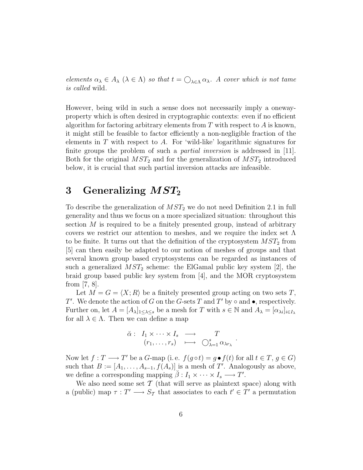elements  $\alpha_{\lambda} \in A_{\lambda}$   $(\lambda \in \Lambda)$  so that  $t = \bigcirc_{\lambda \in \Lambda} \alpha_{\lambda}$ . A cover which is not tame is called wild.

However, being wild in such a sense does not necessarily imply a onewayproperty which is often desired in cryptographic contexts: even if no efficient algorithm for factoring arbitrary elements from  $T$  with respect to  $A$  is known, it might still be feasible to factor efficiently a non-negligible fraction of the elements in  $T$  with respect to  $A$ . For 'wild-like' logarithmic signatures for finite groups the problem of such a partial inversion is addressed in [11]. Both for the original  $MST_2$  and for the generalization of  $MST_2$  introduced below, it is crucial that such partial inversion attacks are infeasible.

### 3 Generalizing  $MST_2$

To describe the generalization of  $MST_2$  we do not need Definition 2.1 in full generality and thus we focus on a more specialized situation: throughout this section  $M$  is required to be a finitely presented group, instead of arbitrary covers we restrict our attention to meshes, and we require the index set  $\Lambda$ to be finite. It turns out that the definition of the cryptosystem  $MST_2$  from [5] can then easily be adapted to our notion of meshes of groups and that several known group based cryptosystems can be regarded as instances of such a generalized  $MST_2$  scheme: the ElGamal public key system [2], the braid group based public key system from [4], and the MOR cryptosystem from [7, 8].

Let  $M = G = \langle X; R \rangle$  be a finitely presented group acting on two sets T, T'. We denote the action of G on the G-sets T and T' by  $\circ$  and  $\bullet$ , respectively. Further on, let  $A = [A_{\lambda}]_{1 \leq \lambda \leq s}$  be a mesh for T with  $s \in \mathbb{N}$  and  $A_{\lambda} = [\alpha_{\lambda i}]_{i \in I_{\lambda}}$ for all  $\lambda \in \Lambda$ . Then we can define a map

$$
\check{\alpha} : I_1 \times \cdots \times I_s \longrightarrow T
$$
  

$$
(r_1, \ldots, r_s) \longmapsto \bigcirc_{\lambda=1}^s \alpha_{\lambda r_{\lambda}}
$$

.

Now let  $f: T \longrightarrow T'$  be a G-map (i.e.  $f(g \circ t) = g \bullet f(t)$  for all  $t \in T, g \in G$ ) such that  $B := [A_1, \ldots, A_{s-1}, f(A_s)]$  is a mesh of T'. Analogously as above, we define a corresponding mapping  $\tilde{\beta}: I_1 \times \cdots \times I_s \longrightarrow T'.$ 

We also need some set  $\mathcal T$  (that will serve as plaintext space) along with a (public) map  $\tau : T' \longrightarrow S_{\mathcal{T}}$  that associates to each  $t' \in T'$  a permutation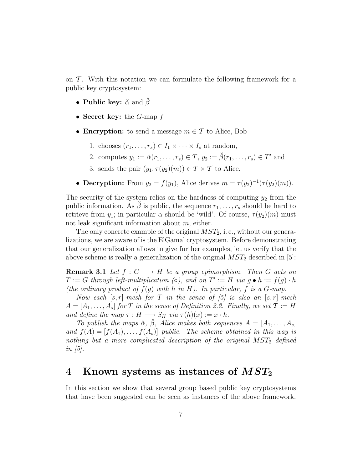on  $\mathcal T$ . With this notation we can formulate the following framework for a public key cryptosystem:

- Public key:  $\check{\alpha}$  and  $\check{\beta}$
- Secret key: the  $G$ -map  $f$
- Encryption: to send a message  $m \in \mathcal{T}$  to Alice, Bob
	- 1. chooses  $(r_1, \ldots, r_s) \in I_1 \times \cdots \times I_s$  at random,
	- 2. computes  $y_1 := \check{\alpha}(r_1, \ldots, r_s) \in T$ ,  $y_2 := \check{\beta}(r_1, \ldots, r_s) \in T'$  and
	- 3. sends the pair  $(y_1, \tau(y_2)(m)) \in T \times T$  to Alice.
- Decryption: From  $y_2 = f(y_1)$ , Alice derives  $m = \tau(y_2)^{-1}(\tau(y_2)(m))$ .

The security of the system relies on the hardness of computing  $y_2$  from the public information. As  $\check{\beta}$  is public, the sequence  $r_1, \ldots, r_s$  should be hard to retrieve from  $y_1$ ; in particular  $\alpha$  should be 'wild'. Of course,  $\tau(y_2)(m)$  must not leak significant information about  $m$ , either.

The only concrete example of the original  $MST_2$ , i.e., without our generalizations, we are aware of is the ElGamal cryptosystem. Before demonstrating that our generalization allows to give further examples, let us verify that the above scheme is really a generalization of the original  $MST_2$  described in [5]:

**Remark 3.1** Let  $f: G \longrightarrow H$  be a group epimorphism. Then G acts on  $T := G$  through left-multiplication ( $\circ$ ), and on  $T' := H$  via  $g \bullet h := f(g) \cdot h$ (the ordinary product of  $f(g)$  with h in H). In particular, f is a G-map.

Now each  $[s, r]$ -mesh for T in the sense of  $[5]$  is also an  $[s, r]$ -mesh  $A = [A_1, \ldots, A_s]$  for T in the sense of Definition 2.2. Finally, we set  $\mathcal{T} := H$ and define the map  $\tau : H \longrightarrow S_H$  via  $\tau(h)(x) := x \cdot h$ .

To publish the maps  $\breve{\alpha}$ ,  $\breve{\beta}$ , Alice makes both sequences  $A = [A_1, \ldots, A_s]$ and  $f(A) = [f(A_1), \ldots, f(A_s)]$  public. The scheme obtained in this way is nothing but a more complicated description of the original  $MST_2$  defined in  $\left[5\right]$ .

### 4 Known systems as instances of  $MST_2$

In this section we show that several group based public key cryptosystems that have been suggested can be seen as instances of the above framework.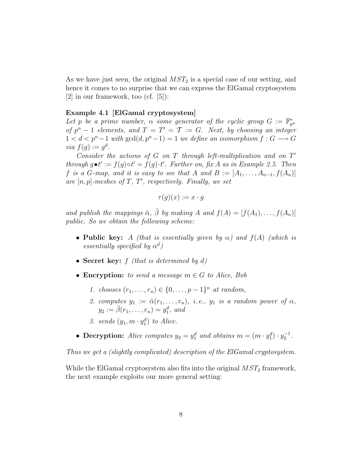As we have just seen, the original  $MST_2$  is a special case of our setting, and hence it comes to no surprise that we can express the ElGamal cryptosystem  $|2|$  in our framework, too (cf.  $|5|$ ):

#### Example 4.1 [ElGamal cryptosystem]

Let p be a prime number,  $\alpha$  some generator of the cyclic group  $G := \mathbb{F}_{p^n}^*$ of  $p^{n}-1$  elements, and  $T=T'=\mathcal{T}:=G$ . Next, by choosing an integer  $1 < d < p<sup>n</sup> - 1$  with  $gcd(d, p<sup>n</sup> - 1) = 1$  we define an isomorphism  $f: G \longrightarrow G$ via  $f(g) := g^d$ .

Consider the actions of  $G$  on  $T$  through left-multiplication and on  $T'$ through  $g \bullet t' := f(g) \circ t' = f(g) \cdot t'$ . Further on, fix A as in Example 2.5. Then f is a G-map, and it is easy to see that A and  $B := [A_1, \ldots, A_{n-1}, f(A_n)]$ are  $[n, p]$ -meshes of T, T', respectively. Finally, we set

$$
\tau(g)(x) := x \cdot g
$$

and publish the mappings  $\breve{\alpha}$ ,  $\breve{\beta}$  by making A and  $f(A) = [f(A_1), \ldots, f(A_n)]$ public. So we obtain the following scheme:

- Public key: A (that is essentially given by  $\alpha$ ) and  $f(A)$  (which is essentially specified by  $\alpha^d$ )
- Secret key:  $f$  (that is determined by  $d$ )
- Encryption: to send a message  $m \in G$  to Alice, Bob
	- 1. chooses  $(r_1, ..., r_n) \in \{0, ..., p-1\}^n$  at random,
	- 2. computes  $y_1 := \breve{\alpha}(r_1, \ldots, r_n)$ , i.e.,  $y_1$  is a random power of  $\alpha$ ,  $y_2 := \breve{\beta}(r_1, ..., r_n) = y_1^d$ , and
	- 3. sends  $(y_1, m \cdot y_1^d)$  to Alice.
- Decryption: Alice computes  $y_2 = y_1^d$  and obtains  $m = (m \cdot y_1^d) \cdot y_2^{-1}$ .

Thus we get a (slightly complicated) description of the ElGamal cryptosystem.

While the ElGamal cryptosystem also fits into the original  $MST_2$  framework, the next example exploits our more general setting: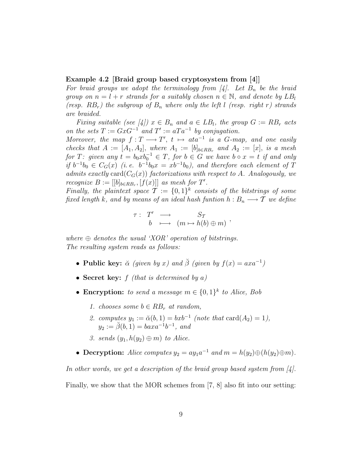#### Example 4.2 [Braid group based cryptosystem from [4]]

For braid groups we adopt the terminology from [4]. Let  $B_n$  be the braid group on  $n = l + r$  strands for a suitably chosen  $n \in \mathbb{N}$ , and denote by  $LB_l$ (resp.  $RB_r$ ) the subgroup of  $B_n$  where only the left l (resp. right r) strands are braided.

Fixing suitable (see [4])  $x \in B_n$  and  $a \in LB_l$ , the group  $G := RB_r$  acts on the sets  $T := G x G^{-1}$  and  $T' := a T a^{-1}$  by conjugation.

Moreover, the map  $f: T \longrightarrow T'$ ,  $t \mapsto ata^{-1}$  is a G-map, and one easily checks that  $A := [A_1, A_2]$ , where  $A_1 := [b]_{b \in RB_r}$  and  $A_2 := [x]$ , is a mesh for T: given any  $t = b_0 x b_0^{-1} \in T$ , for  $b \in G$  we have  $b \circ x = t$  if and only if  $b^{-1}b_0 \in C_G(x)$  (i.e.  $b^{-1}b_0x = xb^{-1}b_0$ ), and therefore each element of T admits exactly card $(C_G(x))$  factorizations with respect to A. Analogously, we *recognize*  $B := [[b]_{b \in RB_r}, [f(x)]]$  as mesh for T'.

Finally, the plaintext space  $\mathcal{T} := \{0,1\}^k$  consists of the bitstrings of some fixed length k, and by means of an ideal hash funtion  $h : B_n \longrightarrow T$  we define

$$
\begin{array}{rccc}\n\tau: & T' & \longrightarrow & S_{\mathcal{T}} \\
b & \longmapsto & (m \mapsto h(b) \oplus m)\n\end{array}
$$

where  $\oplus$  denotes the usual 'XOR' operation of bitstrings. The resulting system reads as follows:

- Public key:  $\check{\alpha}$  (given by x) and  $\check{\beta}$  (given by  $f(x) = axa^{-1}$ )
- Secret key:  $f$  (that is determined by a)
- Encryption: to send a message  $m \in \{0,1\}^k$  to Alice, Bob
	- 1. chooses some  $b \in RB_r$  at random,
	- 2. computes  $y_1 := \check{\alpha}(b, 1) = bxb^{-1}$  (note that  $\text{card}(A_2) = 1$ ),  $y_2 := \check{\beta}(b, 1) = baxa^{-1}b^{-1}$ , and
	- 3. sends  $(y_1, h(y_2) \oplus m)$  to Alice.
- Decryption: Alice computes  $y_2 = ay_1a^{-1}$  and  $m = h(y_2) \oplus (h(y_2) \oplus m)$ .

In other words, we get a description of the braid group based system from  $[4]$ .

Finally, we show that the MOR schemes from [7, 8] also fit into our setting: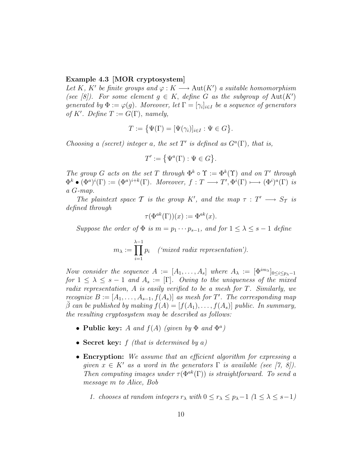#### Example 4.3 [MOR cryptosystem]

Let K, K' be finite groups and  $\varphi : K \longrightarrow \text{Aut}(K')$  a suitable homomorphism (see [8]). For some element  $g \in K$ , define G as the subgroup of  $Aut(K')$ generated by  $\Phi := \varphi(g)$ . Moreover, let  $\Gamma = [\gamma_i]_{i \in I}$  be a sequence of generators of K'. Define  $T := G(\Gamma)$ , namely,

$$
T := \{ \Psi(\Gamma) = [\Psi(\gamma_i)]_{i \in I} : \Psi \in G \}.
$$

Choosing a (secret) integer a, the set T' is defined as  $G^a(\Gamma)$ , that is,

$$
T' := \left\{ \Psi^a(\Gamma) : \Psi \in G \right\}.
$$

The group G acts on the set T through  $\Phi^k \circ \Upsilon := \Phi^k(\Upsilon)$  and on T' through  $\Phi^k \bullet (\Phi^a)^i(\Gamma) := (\Phi^a)^{i+k}(\Gamma)$ . Moreover,  $f : T \longrightarrow T', \Phi^i(\Gamma) \longmapsto (\Phi^i)^a(\Gamma)$  is a G-map.

The plaintext space T is the group K', and the map  $\tau : T' \longrightarrow S_T$  is defined through

$$
\tau(\Phi^{ak}(\Gamma))(x) := \Phi^{ak}(x).
$$

Suppose the order of  $\Phi$  is  $m = p_1 \cdots p_{s-1}$ , and for  $1 \leq \lambda \leq s-1$  define

$$
m_{\lambda} := \prod_{i=1}^{\lambda-1} p_i \quad (\text{ 'mixed radix representation'}).
$$

Now consider the sequence  $A := [A_1, \ldots, A_s]$  where  $A_\lambda := [\Phi^{im_\lambda}]_{0 \leq i \leq p_\lambda - 1}$ for  $1 \leq \lambda \leq s-1$  and  $A_s := [\Gamma]$ . Owing to the uniqueness of the mixed radix representation, A is easily verified to be a mesh for T. Similarly, we recognize  $B := [A_1, \ldots, A_{s-1}, f(A_s)]$  as mesh for T'. The corresponding map  $\beta$  can be published by making  $f(A) = [f(A_1), \ldots, f(A_s)]$  public. In summary, the resulting cryptosystem may be described as follows:

- Public key: A and  $f(A)$  (given by  $\Phi$  and  $\Phi^a$ )
- Secret key:  $f$  (that is determined by a)
- Encryption: We assume that an efficient algorithm for expressing a given  $x \in K'$  as a word in the generators  $\Gamma$  is available (see [7, 8]). Then computing images under  $\tau(\Phi^{ak}(\Gamma))$  is straightforward. To send a message m to Alice, Bob
	- 1. chooses at random integers  $r_{\lambda}$  with  $0 \leq r_{\lambda} \leq p_{\lambda} 1$   $(1 \leq \lambda \leq s-1)$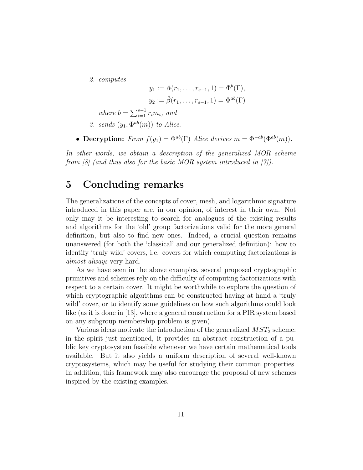2. computes

$$
y_1 := \check{\alpha}(r_1, ..., r_{s-1}, 1) = \Phi^b(\Gamma),
$$
  
\n $y_2 := \check{\beta}(r_1, ..., r_{s-1}, 1) = \Phi^{ab}(\Gamma)$ 

where  $b = \sum_{i=1}^{s-1} r_i m_i$ , and

- 3. sends  $(y_1, \Phi^{ab}(m))$  to Alice.
- Decryption: From  $f(y_1) = \Phi^{ab}(\Gamma)$  Alice derives  $m = \Phi^{-ab}(\Phi^{ab}(m))$ .

In other words, we obtain a description of the generalized MOR scheme from  $\frac{8}{10}$  (and thus also for the basic MOR system introduced in  $\frac{7}{1}$ ).

### 5 Concluding remarks

The generalizations of the concepts of cover, mesh, and logarithmic signature introduced in this paper are, in our opinion, of interest in their own. Not only may it be interesting to search for analogues of the existing results and algorithms for the 'old' group factorizations valid for the more general definition, but also to find new ones. Indeed, a crucial question remains unanswered (for both the 'classical' and our generalized definition): how to identify 'truly wild' covers, i.e. covers for which computing factorizations is almost always very hard.

As we have seen in the above examples, several proposed cryptographic primitives and schemes rely on the difficulty of computing factorizations with respect to a certain cover. It might be worthwhile to explore the question of which cryptographic algorithms can be constructed having at hand a 'truly wild' cover, or to identify some guidelines on how such algorithms could look like (as it is done in [13], where a general construction for a PIR system based on any subgroup membership problem is given).

Various ideas motivate the introduction of the generalized  $MST_2$  scheme: in the spirit just mentioned, it provides an abstract construction of a public key cryptosystem feasible whenever we have certain mathematical tools available. But it also yields a uniform description of several well-known cryptosystems, which may be useful for studying their common properties. In addition, this framework may also encourage the proposal of new schemes inspired by the existing examples.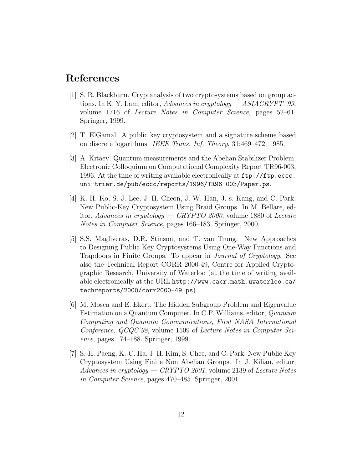### References

- [1] S. R. Blackburn. Cryptanalysis of two cryptosystems based on group actions. In K. Y. Lam, editor, Advances in cryptology  $-$  ASIACRYPT '99, volume 1716 of Lecture Notes in Computer Science, pages 52–61. Springer, 1999.
- [2] T. ElGamal. A public key cryptosystem and a signature scheme based on discrete logarithms. IEEE Trans. Inf. Theory, 31:469–472, 1985.
- [3] A. Kitaev. Quantum measurements and the Abelian Stabilizer Problem. Electronic Colloquium on Computational Complexity Report TR96-003, 1996. At the time of writing available electronically at ftp://ftp.eccc. uni-trier.de/pub/eccc/reports/1996/TR96-003/Paper.ps.
- [4] K. H. Ko, S. J. Lee, J. H. Cheon, J. W. Han, J. s. Kang, and C. Park. New Public-Key Cryptosystem Using Braid Groups. In M. Bellare, editor, Advances in cryptology — CRYPTO 2000, volume 1880 of Lecture Notes in Computer Science, pages 166–183. Springer, 2000.
- [5] S.S. Magliveras, D.R. Stinson, and T. van Trung. New Approaches to Designing Public Key Cryptosystems Using One-Way Functions and Trapdoors in Finite Groups. To appear in Journal of Cryptology. See also the Technical Report CORR 2000-49, Centre for Applied Cryptographic Research, University of Waterloo (at the time of writing available electronically at the URL http://www.cacr.math.uwaterloo.ca/ techreports/2000/corr2000-49.ps).
- [6] M. Mosca and E. Ekert. The Hidden Subgroup Problem and Eigenvalue Estimation on a Quantum Computer. In C.P. Williams, editor, Quantum Computing and Quantum Communications, First NASA International Conference, QCQC'98, volume 1509 of Lecture Notes in Computer Science, pages 174–188. Springer, 1999.
- [7] S.-H. Paeng, K.-C. Ha, J. H. Kim, S. Chee, and C. Park. New Public Key Cryptosystem Using Finite Non Abelian Groups. In J. Kilian, editor, Advances in cryptology — CRYPTO 2001, volume 2139 of Lecture Notes in Computer Science, pages 470–485. Springer, 2001.